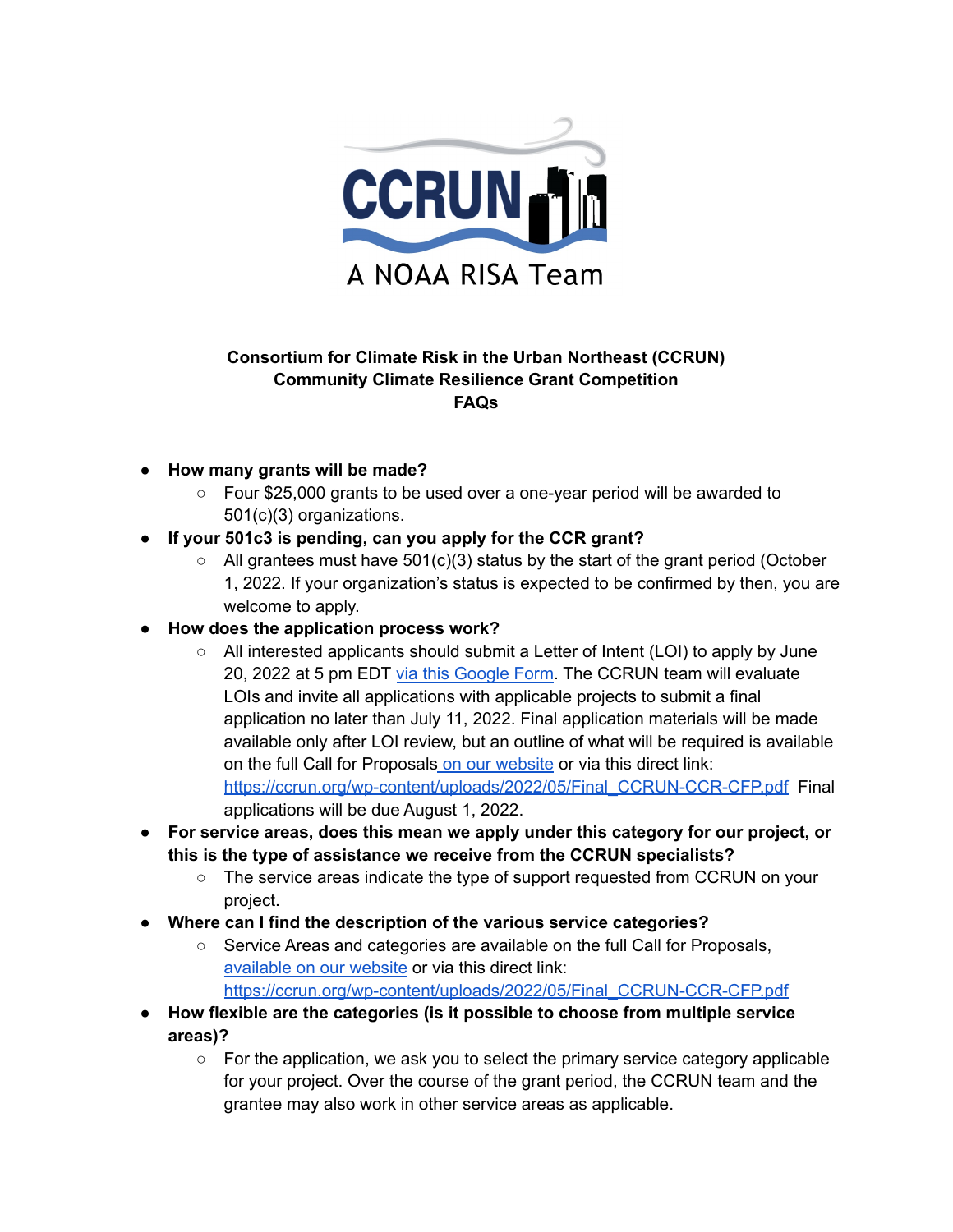

## **Consortium for Climate Risk in the Urban Northeast (CCRUN) Community Climate Resilience Grant Competition FAQs**

- **● How many grants will be made?**
	- $\circ$  Four \$25,000 grants to be used over a one-year period will be awarded to 501(c)(3) organizations.
- **● If your 501c3 is pending, can you apply for the CCR grant?**
	- $\circ$  All grantees must have 501(c)(3) status by the start of the grant period (October 1, 2022. If your organization's status is expected to be confirmed by then, you are welcome to apply.
- **How does the application process work?**
	- All interested applicants should submit a Letter of Intent (LOI) to apply by June 20, 2022 at 5 pm EDT via this [Google](https://docs.google.com/forms/d/e/1FAIpQLScDk_KXmz8p8jWjpDIT52eFA5oV8HjM4IDR_dcDwuEoiDj3jA/viewform) Form. The CCRUN team will evaluate LOIs and invite all applications with applicable projects to submit a final application no later than July 11, 2022. Final application materials will be made available only after LOI review, but an outline of what will be required is available on the full Call for Proposals on our [website](https://www.ccrun.org/grants-competition/) or via this direct link: [https://ccrun.org/wp-content/uploads/2022/05/Final\\_CCRUN-CCR-CFP.pdf](https://ccrun.org/wp-content/uploads/2022/05/Final_CCRUN-CCR-CFP.pdf) Final applications will be due August 1, 2022.
- **● For service areas, does this mean we apply under this category for our project, or this is the type of assistance we receive from the CCRUN specialists?**
	- The service areas indicate the type of support requested from CCRUN on your project.
- **Where can I find the description of the various service categories?**
	- Service Areas and categories are available on the full Call for Proposals, [available](https://www.ccrun.org/grants-competition/) on our website or via this direct link: [https://ccrun.org/wp-content/uploads/2022/05/Final\\_CCRUN-CCR-CFP.pdf](https://ccrun.org/wp-content/uploads/2022/05/Final_CCRUN-CCR-CFP.pdf)
- **How flexible are the categories (is it possible to choose from multiple service areas)?**
	- $\circ$  For the application, we ask you to select the primary service category applicable for your project. Over the course of the grant period, the CCRUN team and the grantee may also work in other service areas as applicable.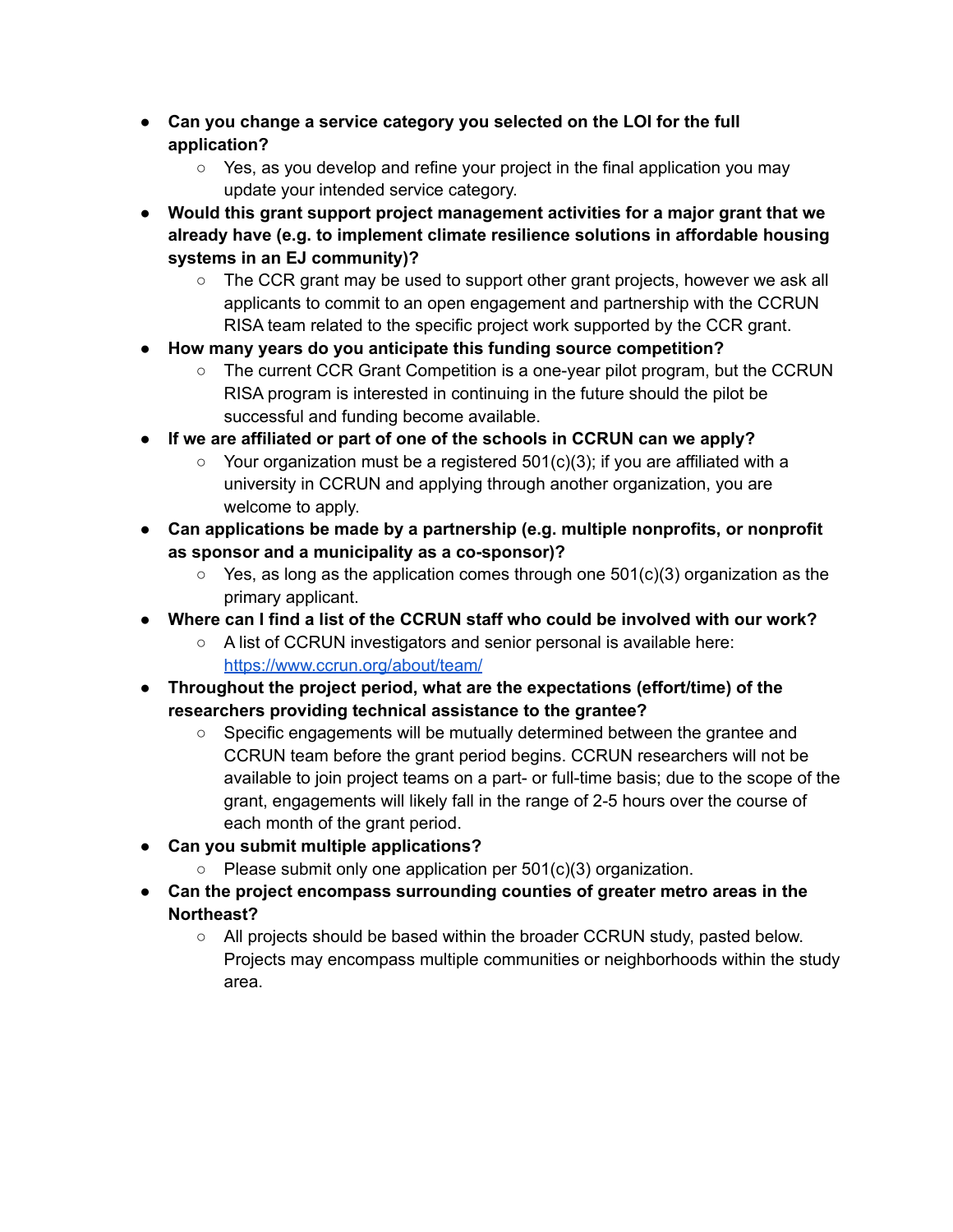- **● Can you change a service category you selected on the LOI for the full application?**
	- Yes, as you develop and refine your project in the final application you may update your intended service category.
- **Would this grant support project management activities for a major grant that we already have (e.g. to implement climate resilience solutions in affordable housing systems in an EJ community)?**
	- The CCR grant may be used to support other grant projects, however we ask all applicants to commit to an open engagement and partnership with the CCRUN RISA team related to the specific project work supported by the CCR grant.
- **● How many years do you anticipate this funding source competition?**
	- The current CCR Grant Competition is a one-year pilot program, but the CCRUN RISA program is interested in continuing in the future should the pilot be successful and funding become available.
- **● If we are affiliated or part of one of the schools in CCRUN can we apply?**
	- $\circ$  Your organization must be a registered 501(c)(3); if you are affiliated with a university in CCRUN and applying through another organization, you are welcome to apply.
- **● Can applications be made by a partnership (e.g. multiple nonprofits, or nonprofit as sponsor and a municipality as a co-sponsor)?**
	- $\degree$  Yes, as long as the application comes through one 501(c)(3) organization as the primary applicant.
- **● Where can I find a list of the CCRUN staff who could be involved with our work?**
	- A list of CCRUN investigators and senior personal is available here: <https://www.ccrun.org/about/team/>
- **● Throughout the project period, what are the expectations (effort/time) of the researchers providing technical assistance to the grantee?**
	- Specific engagements will be mutually determined between the grantee and CCRUN team before the grant period begins. CCRUN researchers will not be available to join project teams on a part- or full-time basis; due to the scope of the grant, engagements will likely fall in the range of 2-5 hours over the course of each month of the grant period.
- **● Can you submit multiple applications?**
	- **○** Please submit only one application per 501(c)(3) organization.
- **● Can the project encompass surrounding counties of greater metro areas in the Northeast?**
	- $\circ$  All projects should be based within the broader CCRUN study, pasted below. Projects may encompass multiple communities or neighborhoods within the study area.